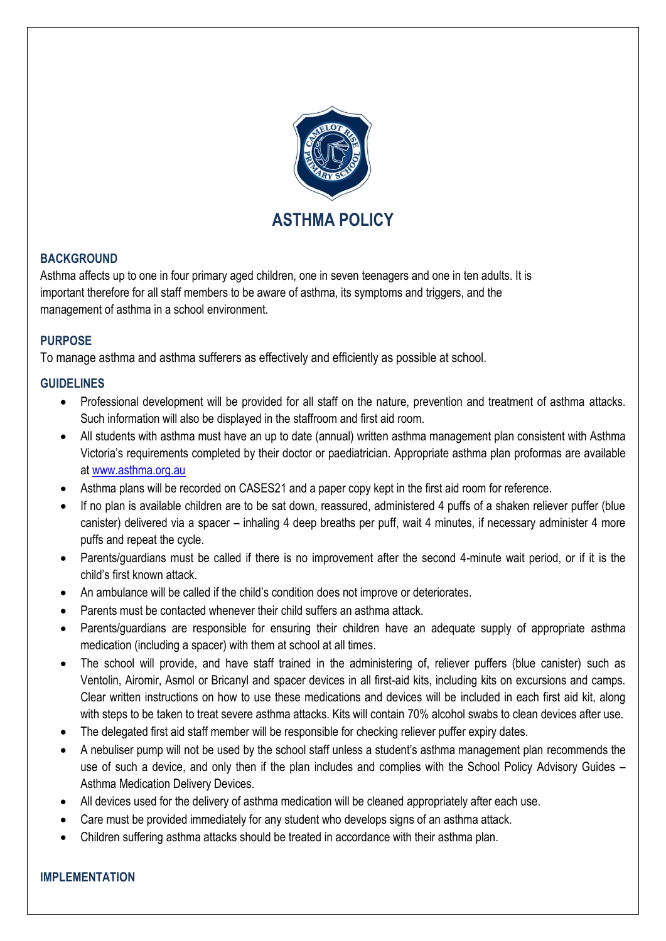

## **BACKGROUND**

Asthma affects up to one in four primary aged children, one in seven teenagers and one in ten adults. It is important therefore for all staff members to be aware of asthma, its symptoms and triggers, and the management of asthma in a school environment.

### **PURPOSE**

To manage asthma and asthma sufferers as effectively and efficiently as possible at school.

## **GUIDELINES**

- Professional development will be provided for all staff on the nature, prevention and treatment of asthma attacks. Such information will also be displayed in the staffroom and first aid room.
- All students with asthma must have an up to date (annual) written asthma management plan consistent with Asthma Victoria's requirements completed by their doctor or paediatrician. Appropriate asthma plan proformas are available at [www.asthma.org.au](http://www.asthma.org.au/)
- Asthma plans will be recorded on CASES21 and a paper copy kept in the first aid room for reference.
- If no plan is available children are to be sat down, reassured, administered 4 puffs of a shaken reliever puffer (blue canister) delivered via a spacer – inhaling 4 deep breaths per puff, wait 4 minutes, if necessary administer 4 more puffs and repeat the cycle.
- Parents/guardians must be called if there is no improvement after the second 4-minute wait period, or if it is the child's first known attack.
- An ambulance will be called if the child's condition does not improve or deteriorates.
- Parents must be contacted whenever their child suffers an asthma attack.
- Parents/guardians are responsible for ensuring their children have an adequate supply of appropriate asthma medication (including a spacer) with them at school at all times.
- The school will provide, and have staff trained in the administering of, reliever puffers (blue canister) such as Ventolin, Airomir, Asmol or Bricanyl and spacer devices in all first-aid kits, including kits on excursions and camps. Clear written instructions on how to use these medications and devices will be included in each first aid kit, along with steps to be taken to treat severe asthma attacks. Kits will contain 70% alcohol swabs to clean devices after use.
- The delegated first aid staff member will be responsible for checking reliever puffer expiry dates.
- A nebuliser pump will not be used by the school staff unless a student's asthma management plan recommends the use of such a device, and only then if the plan includes and complies with the School Policy Advisory Guides – Asthma Medication Delivery Devices.
- All devices used for the delivery of asthma medication will be cleaned appropriately after each use.
- Care must be provided immediately for any student who develops signs of an asthma attack.
- Children suffering asthma attacks should be treated in accordance with their asthma plan.

#### **IMPLEMENTATION**